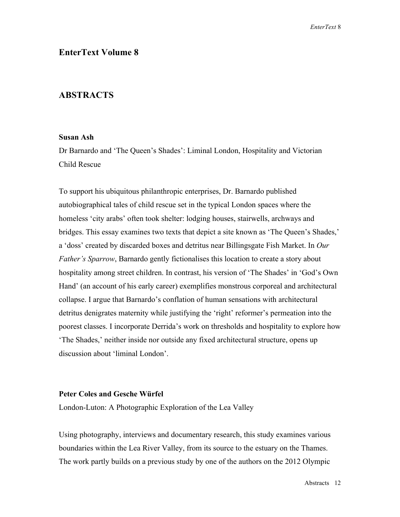# **EnterText Volume 8**

### **ABSTRACTS**

### **Susan Ash**

Dr Barnardo and 'The Queen's Shades': Liminal London, Hospitality and Victorian Child Rescue

To support his ubiquitous philanthropic enterprises, Dr. Barnardo published autobiographical tales of child rescue set in the typical London spaces where the homeless 'city arabs' often took shelter: lodging houses, stairwells, archways and bridges. This essay examines two texts that depict a site known as 'The Queen's Shades,' a 'doss' created by discarded boxes and detritus near Billingsgate Fish Market. In *Our Father's Sparrow*, Barnardo gently fictionalises this location to create a story about hospitality among street children. In contrast, his version of 'The Shades' in 'God's Own Hand' (an account of his early career) exemplifies monstrous corporeal and architectural collapse. I argue that Barnardo's conflation of human sensations with architectural detritus denigrates maternity while justifying the 'right' reformer's permeation into the poorest classes. I incorporate Derrida's work on thresholds and hospitality to explore how 'The Shades,' neither inside nor outside any fixed architectural structure, opens up discussion about 'liminal London'.

#### **Peter Coles and Gesche Würfel**

London-Luton: A Photographic Exploration of the Lea Valley

Using photography, interviews and documentary research, this study examines various boundaries within the Lea River Valley, from its source to the estuary on the Thames. The work partly builds on a previous study by one of the authors on the 2012 Olympic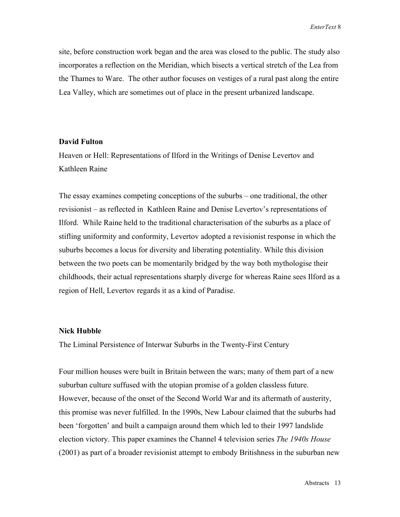site, before construction work began and the area was closed to the public. The study also incorporates a reflection on the Meridian, which bisects a vertical stretch of the Lea from the Thames to Ware. The other author focuses on vestiges of a rural past along the entire Lea Valley, which are sometimes out of place in the present urbanized landscape.

### **David Fulton**

Heaven or Hell: Representations of Ilford in the Writings of Denise Levertov and Kathleen Raine

The essay examines competing conceptions of the suburbs – one traditional, the other revisionist – as reflected in Kathleen Raine and Denise Levertov's representations of Ilford. While Raine held to the traditional characterisation of the suburbs as a place of stifling uniformity and conformity, Levertov adopted a revisionist response in which the suburbs becomes a locus for diversity and liberating potentiality. While this division between the two poets can be momentarily bridged by the way both mythologise their childhoods, their actual representations sharply diverge for whereas Raine sees Ilford as a region of Hell, Levertov regards it as a kind of Paradise.

#### **Nick Hubble**

The Liminal Persistence of Interwar Suburbs in the Twenty-First Century

Four million houses were built in Britain between the wars; many of them part of a new suburban culture suffused with the utopian promise of a golden classless future. However, because of the onset of the Second World War and its aftermath of austerity, this promise was never fulfilled. In the 1990s, New Labour claimed that the suburbs had been 'forgotten' and built a campaign around them which led to their 1997 landslide election victory. This paper examines the Channel 4 television series *The 1940s House*  (2001) as part of a broader revisionist attempt to embody Britishness in the suburban new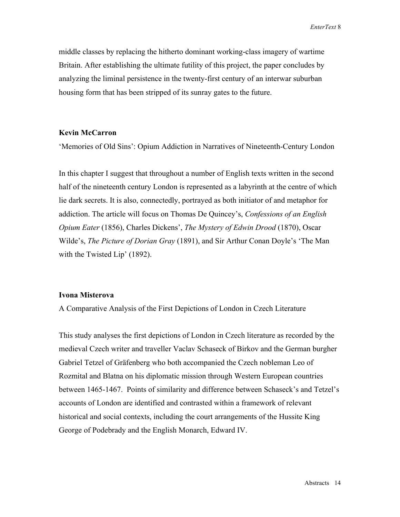middle classes by replacing the hitherto dominant working-class imagery of wartime Britain. After establishing the ultimate futility of this project, the paper concludes by analyzing the liminal persistence in the twenty-first century of an interwar suburban housing form that has been stripped of its sunray gates to the future.

#### **Kevin McCarron**

'Memories of Old Sins': Opium Addiction in Narratives of Nineteenth-Century London

In this chapter I suggest that throughout a number of English texts written in the second half of the nineteenth century London is represented as a labyrinth at the centre of which lie dark secrets. It is also, connectedly, portrayed as both initiator of and metaphor for addiction. The article will focus on Thomas De Quincey's, *Confessions of an English Opium Eater* (1856), Charles Dickens', *The Mystery of Edwin Drood* (1870), Oscar Wilde's, *The Picture of Dorian Gray* (1891), and Sir Arthur Conan Doyle's 'The Man with the Twisted Lip' (1892).

#### **Ivona Misterova**

A Comparative Analysis of the First Depictions of London in Czech Literature

This study analyses the first depictions of London in Czech literature as recorded by the medieval Czech writer and traveller Vaclav Schaseck of Birkov and the German burgher Gabriel Tetzel of Gräfenberg who both accompanied the Czech nobleman Leo of Rozmital and Blatna on his diplomatic mission through Western European countries between 1465-1467. Points of similarity and difference between Schaseck's and Tetzel's accounts of London are identified and contrasted within a framework of relevant historical and social contexts, including the court arrangements of the Hussite King George of Podebrady and the English Monarch, Edward IV.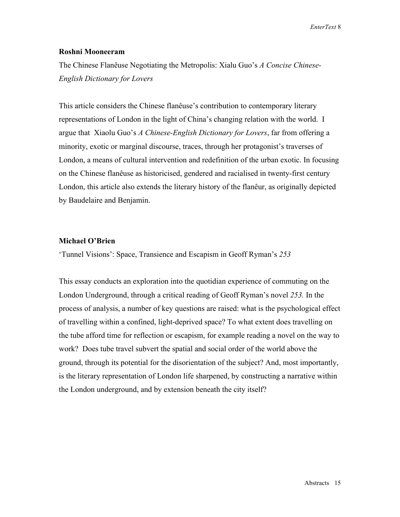*EnterText* 8

### **Roshni Mooneeram**

The Chinese Flanêuse Negotiating the Metropolis: Xialu Guo's *A Concise Chinese-English Dictionary for Lovers*

This article considers the Chinese flanêuse's contribution to contemporary literary representations of London in the light of China's changing relation with the world. I argue that Xiaolu Guo's *A Chinese-English Dictionary for Lovers*, far from offering a minority, exotic or marginal discourse, traces, through her protagonist's traverses of London, a means of cultural intervention and redefinition of the urban exotic. In focusing on the Chinese flanêuse as historicised, gendered and racialised in twenty-first century London, this article also extends the literary history of the flanêur, as originally depicted by Baudelaire and Benjamin.

### **Michael O'Brien**

'Tunnel Visions': Space, Transience and Escapism in Geoff Ryman's *253*

This essay conducts an exploration into the quotidian experience of commuting on the London Underground, through a critical reading of Geoff Ryman's novel *253.* In the process of analysis, a number of key questions are raised: what is the psychological effect of travelling within a confined, light-deprived space? To what extent does travelling on the tube afford time for reflection or escapism, for example reading a novel on the way to work? Does tube travel subvert the spatial and social order of the world above the ground, through its potential for the disorientation of the subject? And, most importantly, is the literary representation of London life sharpened, by constructing a narrative within the London underground, and by extension beneath the city itself?